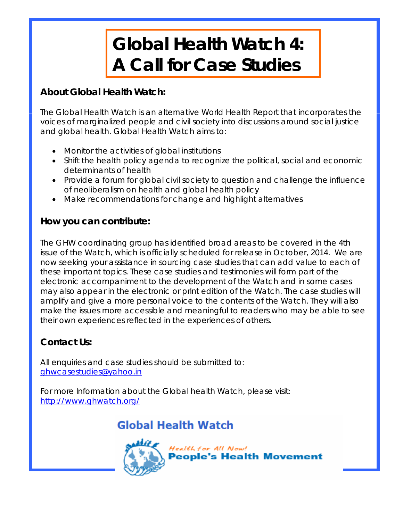# **Global Health Watch 4: A Call for Case Studies**

## **About Global Health Watch:**

The Global Health Watch is an alternative World Health Report that incorporates the voices of marginalized people and civil society into discussions around social justice and global health. Global Health Watch aims to:

- Monitor the activities of global institutions
- Shift the health policy agenda to recognize the political, social and economic determinants of health
- Provide a forum for global civil society to question and challenge the influence of neoliberalism on health and global health policy
- Make recommendations for change and highlight alternatives

## **How you can contribute:**

The GHW coordinating group has identified broad areas to be covered in the 4th issue of the Watch, which is officially *scheduled for release in October, 2014*. We are now seeking your assistance in sourcing case studies that can add value to each of these important topics. These case studies and testimonies will form part of the electronic accompaniment to the development of the Watch and in some cases may also appear in the electronic or print edition of the Watch. The case studies will amplify and give a more personal voice to the contents of the Watch. They will also make the issues more accessible and meaningful to readers who may be able to see their own experiences reflected in the experiences of others.

## **Contact Us:**

All enquiries and case studies should be submitted to: ghwcasestudies@yahoo.in

For more Information about the Global health Watch, please visit: http://www.ghwatch.org/

## **Global Health Watch**

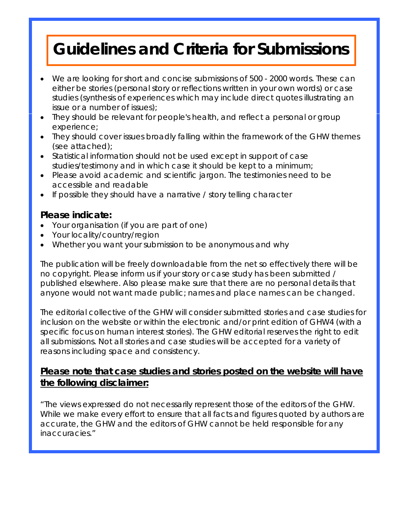## **Guidelines and Criteria for Submissions**

- We are looking for short and concise submissions of 500 2000 words. These can either be stories (personal story or reflections written in your own words) or case studies (synthesis of experiences which may include direct quotes illustrating an issue or a number of issues);
- They should be relevant for people's health, and reflect a personal or group experience;
- They should cover issues broadly falling within the framework of the GHW themes (see attached);
- Statistical information should not be used except in support of case studies/testimony and in which case it should be kept to a minimum;
- Please avoid academic and scientific jargon. The testimonies need to be accessible and readable
- If possible they should have a narrative / story telling character

#### **Please indicate:**

- Your organisation (if you are part of one)
- Your locality/country/region
- Whether you want your submission to be anonymous and why

The publication will be freely downloadable from the net so effectively there will be no copyright. Please inform us if your story or case study has been submitted / published elsewhere. Also please make sure that there are no personal details that anyone would not want made public; names and place names can be changed.

The editorial collective of the GHW will consider submitted stories and case studies for inclusion on the website or within the electronic and/or print edition of GHW4 (with a specific focus on human interest stories). The GHW editorial reserves the right to edit all submissions. Not all stories and case studies will be accepted for a variety of reasons including space and consistency.

#### *Please note that case studies and stories posted on the website will have the following disclaimer:*

"The views expressed do not necessarily represent those of the editors of the GHW. While we make every effort to ensure that all facts and figures quoted by authors are accurate, the GHW and the editors of GHW cannot be held responsible for any inaccuracies."